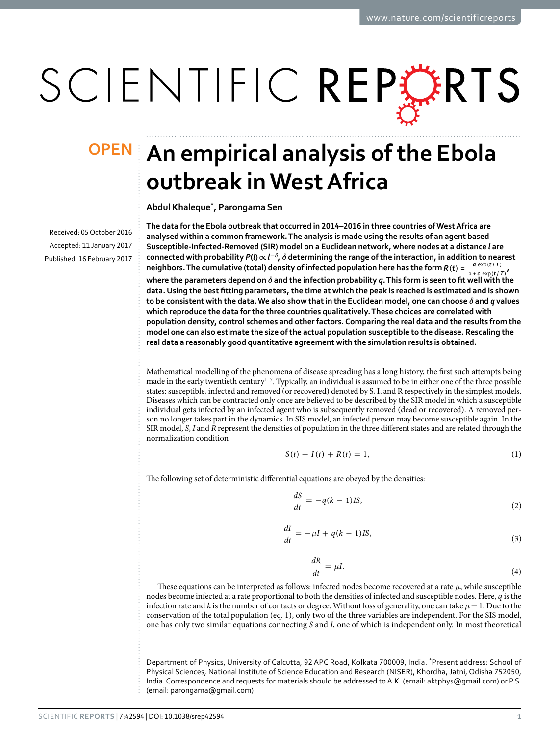# SCIENTIFIC REPERTS

Received: 05 October 2016 accepted: 11 January 2017 Published: 16 February 2017

## **An empirical analysis of the Ebola OPENoutbreak in West Africa**

**Abdul Khaleque\*, Parongama Sen**

**The data for the Ebola outbreak that occurred in 2014–2016 in three countries of West Africa are analysed within a common framework. The analysis is made using the results of an agent based Susceptible-Infected-Removed (SIR) model on a Euclidean network, where nodes at a distance** *l* **are**   $\bm{\epsilon}$  connected with probability  $\bm{P}(\bm{l}) \!\propto\! l^{-\delta}$ ,  $\delta$  determining the range of the interaction, in addition to nearest neighbors. The cumulative (total) density of infected population here has the form  $R(t) = \frac{a \exp(t/T)}{1 + c \exp(t/T)}$  $exp(t / T)$  $\frac{a \exp(t/T)}{b + c \exp(t/T)}$ **where the parameters depend on** *δ* **and the infection probability** *q***. This form is seen to fit well with the data. Using the best fitting parameters, the time at which the peak is reached is estimated and is shown to be consistent with the data. We also show that in the Euclidean model, one can choose** *δ* **and** *q* **values which reproduce the data for the three countries qualitatively. These choices are correlated with population density, control schemes and other factors. Comparing the real data and the results from the model one can also estimate the size of the actual population susceptible to the disease. Rescaling the real data a reasonably good quantitative agreement with the simulation results is obtained.**

Mathematical modelling of the phenomena of disease spreading has a long history, the first such attempts being made in the early twentieth century<sup>1-7</sup>. Typically, an individual is assumed to be in either one of the three possible states: susceptible, infected and removed (or recovered) denoted by S, I, and R respectively in the simplest models. Diseases which can be contracted only once are believed to be described by the SIR model in which a susceptible individual gets infected by an infected agent who is subsequently removed (dead or recovered). A removed person no longer takes part in the dynamics. In SIS model, an infected person may become susceptible again. In the SIR model, *S*, *I* and *R* represent the densities of population in the three different states and are related through the normalization condition

$$
S(t) + I(t) + R(t) = 1,
$$
 (1)

The following set of deterministic differential equations are obeyed by the densities:

$$
\frac{dS}{dt} = -q(k-1)IS,\tag{2}
$$

$$
\frac{dI}{dt} = -\mu I + q(k-1)IS,\tag{3}
$$

$$
\frac{dR}{dt} = \mu I. \tag{4}
$$

These equations can be interpreted as follows: infected nodes become recovered at a rate *μ*, while susceptible nodes become infected at a rate proportional to both the densities of infected and susceptible nodes. Here, *q* is the infection rate and *k* is the number of contacts or degree. Without loss of generality, one can take  $\mu = 1$ . Due to the conservation of the total population (eq. 1), only two of the three variables are independent. For the SIS model, one has only two similar equations connecting *S* and *I*, one of which is independent only. In most theoretical

Department of Physics, University of Calcutta, 92 APC Road, Kolkata 700009, India. \*Present address: School of Physical Sciences, National Institute of Science Education and Research (NISER), Khordha, Jatni, Odisha 752050, India. Correspondence and requests for materials should be addressed to A.K. (email: [aktphys@gmail.com](mailto:psphy@caluniv.ac.in)) or P.S. (email: [parongama@gmail.com](mailto:parongama@gmail.com))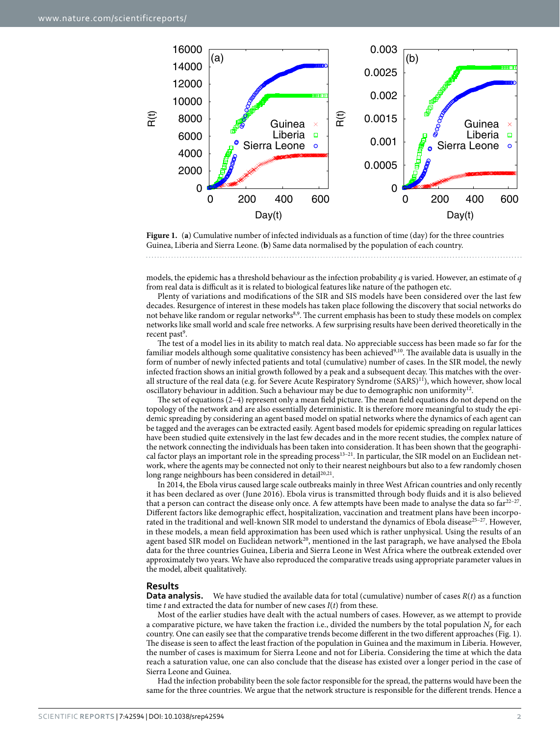

<span id="page-1-0"></span>**Figure 1.** (**a**) Cumulative number of infected individuals as a function of time (day) for the three countries Guinea, Liberia and Sierra Leone. (**b**) Same data normalised by the population of each country.

models, the epidemic has a threshold behaviour as the infection probability *q* is varied. However, an estimate of *q* from real data is difficult as it is related to biological features like nature of the pathogen etc.

Plenty of variations and modifications of the SIR and SIS models have been considered over the last few decades. Resurgence of interest in these models has taken place following the discovery that social networks do not behave like random or regular networks[8,](#page-6-1)[9.](#page-6-2) The current emphasis has been to study these models on complex networks like small world and scale free networks. A few surprising results have been derived theoretically in the recent past<sup>9</sup>.

The test of a model lies in its ability to match real data. No appreciable success has been made so far for the familiar models although some qualitative consistency has been achieved<sup>9,[10](#page-6-3)</sup>. The available data is usually in the form of number of newly infected patients and total (cumulative) number of cases. In the SIR model, the newly infected fraction shows an initial growth followed by a peak and a subsequent decay. This matches with the overall structure of the real data (e.g. for Severe Acute Respiratory Syndrome (SARS)<sup>11</sup>), which however, show local oscillatory behaviour in addition. Such a behaviour may be due to demographic non uniformity<sup>12</sup>.

The set of equations (2–4) represent only a mean field picture. The mean field equations do not depend on the topology of the network and are also essentially deterministic. It is therefore more meaningful to study the epidemic spreading by considering an agent based model on spatial networks where the dynamics of each agent can be tagged and the averages can be extracted easily. Agent based models for epidemic spreading on regular lattices have been studied quite extensively in the last few decades and in the more recent studies, the complex nature of the network connecting the individuals has been taken into consideration. It has been shown that the geographical factor plays an important role in the spreading process<sup>13–21</sup>. In particular, the SIR model on an Euclidean network, where the agents may be connected not only to their nearest neighbours but also to a few randomly chosen long range neighbours has been considered in detail<sup>[20](#page-6-7),[21](#page-6-8)</sup>.

In 2014, the Ebola virus caused large scale outbreaks mainly in three West African countries and only recently it has been declared as over (June 2016). Ebola virus is transmitted through body fluids and it is also believed that a person can contract the disease only once. A few attempts have been made to analyse the data so  $far^{22-27}$ . Different factors like demographic effect, hospitalization, vaccination and treatment plans have been incorpo-rated in the traditional and well-known SIR model to understand the dynamics of Ebola disease<sup>[25–27](#page-6-10)</sup>. However, in these models, a mean field approximation has been used which is rather unphysical. Using the results of an agent based SIR model on Euclidean network<sup>20</sup>, mentioned in the last paragraph, we have analysed the Ebola data for the three countries Guinea, Liberia and Sierra Leone in West Africa where the outbreak extended over approximately two years. We have also reproduced the comparative treads using appropriate parameter values in the model, albeit qualitatively.

#### **Results**

**Data analysis.** We have studied the available data for total (cumulative) number of cases *R*(*t*) as a function time *t* and extracted the data for number of new cases *I*(*t*) from these.

Most of the earlier studies have dealt with the actual numbers of cases. However, as we attempt to provide a comparative picture, we have taken the fraction i.e., divided the numbers by the total population  $N_p$  for each country. One can easily see that the comparative trends become different in the two different approaches ([Fig. 1](#page-1-0)). The disease is seen to affect the least fraction of the population in Guinea and the maximum in Liberia. However, the number of cases is maximum for Sierra Leone and not for Liberia. Considering the time at which the data reach a saturation value, one can also conclude that the disease has existed over a longer period in the case of Sierra Leone and Guinea.

Had the infection probability been the sole factor responsible for the spread, the patterns would have been the same for the three countries. We argue that the network structure is responsible for the different trends. Hence a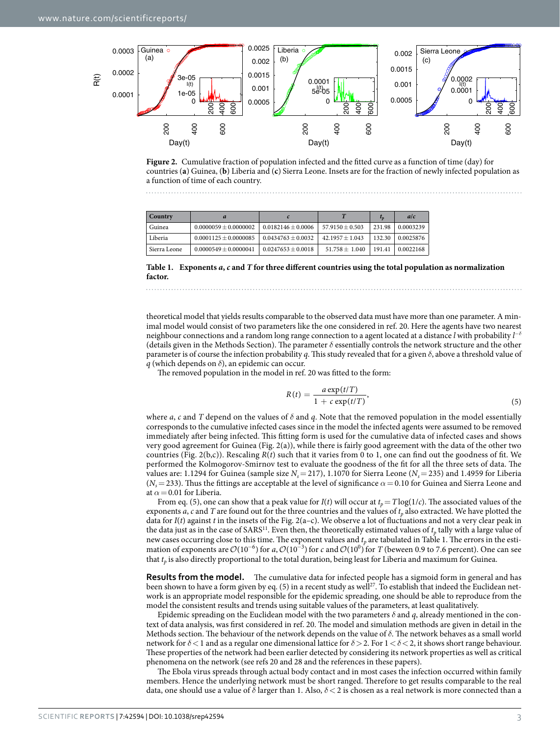

<span id="page-2-0"></span>**Figure 2.** Cumulative fraction of population infected and the fitted curve as a function of time (day) for countries (**a**) Guinea, (**b**) Liberia and (**c**) Sierra Leone. Insets are for the fraction of newly infected population as a function of time of each country.

<span id="page-2-1"></span>

| Country      |                         |                      |                   | $t_{p}$ | a/c       |
|--------------|-------------------------|----------------------|-------------------|---------|-----------|
| Guinea       | $0.0000059 + 0.0000002$ | $0.0182146 + 0.0006$ | $57.9150 + 0.503$ | 231.98  | 0.0003239 |
| Liberia      | $0.0001125 + 0.0000085$ | $0.0434763 + 0.0032$ | $42.1957 + 1.043$ | 132.30  | 0.0025876 |
| Sierra Leone | $0.0000549 + 0.0000041$ | $0.0247653 + 0.0018$ | $51.758 + 1.040$  | 191.41  | 0.0022168 |

**Table 1. Exponents** *a***,** *c* **and** *T* **for three different countries using the total population as normalization factor.**

theoretical model that yields results comparable to the observed data must have more than one parameter. A minimal model would consist of two parameters like the one considered in ref. [20](#page-6-7). Here the agents have two nearest neighbour connections and a random long range connection to a agent located at a distance *l* with probability *l* −*δ* (details given in the Methods Section). The parameter *δ* essentially controls the network structure and the other parameter is of course the infection probability *q*. This study revealed that for a given *δ*, above a threshold value of *q* (which depends on *δ*), an epidemic can occur.

The removed population in the model in ref. [20](#page-6-7) was fitted to the form:

$$
R(t) = \frac{a \exp(t/T)}{1 + c \exp(t/T)},
$$
\n<sup>(5)</sup>

where *a*, *c* and *T* depend on the values of  $\delta$  and *q*. Note that the removed population in the model essentially corresponds to the cumulative infected cases since in the model the infected agents were assumed to be removed immediately after being infected. This fitting form is used for the cumulative data of infected cases and shows very good agreement for Guinea [\(Fig. 2\(a\)\)](#page-2-0), while there is fairly good agreement with the data of the other two countries ([Fig. 2\(b,c\)](#page-2-0)). Rescaling *R*(*t*) such that it varies from 0 to 1, one can find out the goodness of fit. We performed the Kolmogorov-Smirnov test to evaluate the goodness of the fit for all the three sets of data. The values are: 1.1294 for Guinea (sample size  $N_s = 217$ ), 1.1070 for Sierra Leone ( $N_s = 235$ ) and 1.4959 for Liberia  $(N<sub>s</sub>=233)$ . Thus the fittings are acceptable at the level of significance  $\alpha = 0.10$  for Guinea and Sierra Leone and at  $\alpha$  = 0.01 for Liberia.

From eq. (5), one can show that a peak value for  $I(t)$  will occur at  $t_p = T\log(1/c)$ . The associated values of the exponents *a*, *c* and *T* are found out for the three countries and the values of  $t<sub>p</sub>$  also extracted. We have plotted the data for *I*(*t*) against *t* in the insets of the [Fig. 2\(a–c\)](#page-2-0). We observe a lot of fluctuations and not a very clear peak in the data just as in the case of SARS<sup>11</sup>. Even then, the theoretically estimated values of  $t_p$  tally with a large value of new cases occurring close to this time. The exponent values and  $t_p$  are tabulated in [Table 1](#page-2-1). The errors in the estimation of exponents are  $\mathcal{O}(10^{-6})$  for *a*,  $\mathcal{O}(10^{-3})$  for *c* and  $\mathcal{O}(10^0)$  for *T* (beween 0.9 to 7.6 percent). One can see that *t<sub>p</sub>* is also directly proportional to the total duration, being least for Liberia and maximum for Guinea.

**Results from the model.** The cumulative data for infected people has a sigmoid form in general and has been shown to have a form given by eq. (5) in a recent study as well<sup>[27](#page-6-11)</sup>. To establish that indeed the Euclidean network is an appropriate model responsible for the epidemic spreading, one should be able to reproduce from the model the consistent results and trends using suitable values of the parameters, at least qualitatively.

Epidemic spreading on the Euclidean model with the two parameters  $\delta$  and  $q$ , already mentioned in the context of data analysis, was first considered in ref. [20](#page-6-7). The model and simulation methods are given in detail in the Methods section. The behaviour of the network depends on the value of *δ*. The network behaves as a small world network for *δ*<1 and as a regular one dimensional lattice for *δ*>2. For 1<*δ*<2, it shows short range behaviour. These properties of the network had been earlier detected by considering its network properties as well as critical phenomena on the network (see refs [20](#page-6-7) and [28](#page-6-12) and the references in these papers).

The Ebola virus spreads through actual body contact and in most cases the infection occurred within family members. Hence the underlying network must be short ranged. Therefore to get results comparable to the real data, one should use a value of *δ* larger than 1. Also, *δ*< 2 is chosen as a real network is more connected than a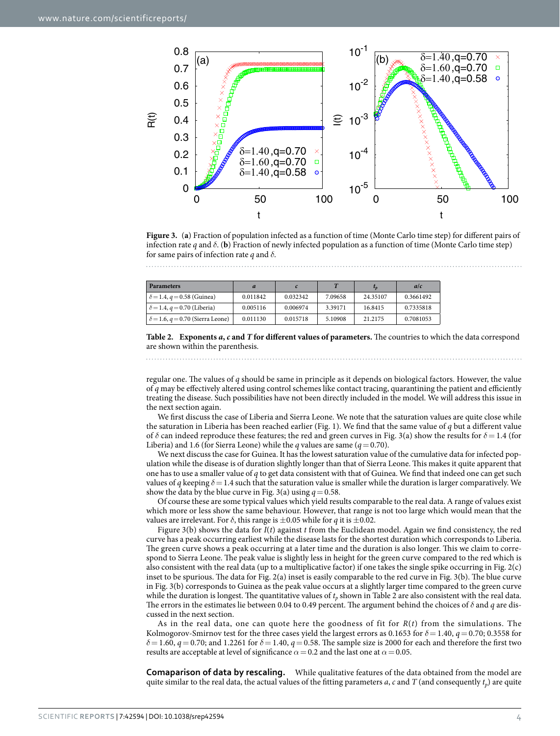

<span id="page-3-0"></span>**Figure 3.** (**a**) Fraction of population infected as a function of time (Monte Carlo time step) for different pairs of infection rate *q* and  $\delta$ . (**b**) Fraction of newly infected population as a function of time (Monte Carlo time step) for same pairs of infection rate *q* and *δ*.

<span id="page-3-1"></span>

| <b>Parameters</b>                       |          |          |         |          | a/c       |
|-----------------------------------------|----------|----------|---------|----------|-----------|
| $\delta = 1.4, q = 0.58$ (Guinea)       | 0.011842 | 0.032342 | 7.09658 | 24.35107 | 0.3661492 |
| $\delta = 1.4, q = 0.70$ (Liberia)      | 0.005116 | 0.006974 | 3.39171 | 16.8415  | 0.7335818 |
| $\delta$ = 1.6, q = 0.70 (Sierra Leone) | 0.011130 | 0.015718 | 5.10908 | 21.2175  | 0.7081053 |

**Table 2. Exponents** *a***,** *c* **and** *T* **for different values of parameters.** The countries to which the data correspond are shown within the parenthesis.

regular one. The values of *q* should be same in principle as it depends on biological factors. However, the value of *q* may be effectively altered using control schemes like contact tracing, quarantining the patient and efficiently treating the disease. Such possibilities have not been directly included in the model. We will address this issue in the next section again.

We first discuss the case of Liberia and Sierra Leone. We note that the saturation values are quite close while the saturation in Liberia has been reached earlier ([Fig. 1\)](#page-1-0). We find that the same value of *q* but a different value of *δ* can indeed reproduce these features; the red and green curves in [Fig. 3\(a\)](#page-3-0) show the results for *δ*= 1.4 (for Liberia) and 1.6 (for Sierra Leone) while the *q* values are same ( $q = 0.70$ ).

We next discuss the case for Guinea. It has the lowest saturation value of the cumulative data for infected population while the disease is of duration slightly longer than that of Sierra Leone. This makes it quite apparent that one has to use a smaller value of *q* to get data consistent with that of Guinea. We find that indeed one can get such values of *q* keeping  $\delta$  = 1.4 such that the saturation value is smaller while the duration is larger comparatively. We show the data by the blue curve in [Fig. 3\(a\)](#page-3-0) using  $q = 0.58$ .

Of course these are some typical values which yield results comparable to the real data. A range of values exist which more or less show the same behaviour. However, that range is not too large which would mean that the values are irrelevant. For  $\delta$ , this range is  $\pm 0.05$  while for *q* it is  $\pm 0.02$ .

[Figure 3\(b\)](#page-3-0) shows the data for *I*(*t*) against *t* from the Euclidean model. Again we find consistency, the red curve has a peak occurring earliest while the disease lasts for the shortest duration which corresponds to Liberia. The green curve shows a peak occurring at a later time and the duration is also longer. This we claim to correspond to Sierra Leone. The peak value is slightly less in height for the green curve compared to the red which is also consistent with the real data (up to a multiplicative factor) if one takes the single spike occurring in [Fig. 2\(c\)](#page-2-0)  inset to be spurious. The data for [Fig. 2\(a\)](#page-2-0) inset is easily comparable to the red curve in [Fig. 3\(b\).](#page-3-0) The blue curve in [Fig. 3\(b\)](#page-3-0) corresponds to Guinea as the peak value occurs at a slightly larger time compared to the green curve while the duration is longest. The quantitative values of  $t_p$  shown in [Table 2](#page-3-1) are also consistent with the real data. The errors in the estimates lie between 0.04 to 0.49 percent. The argument behind the choices of *δ* and *q* are discussed in the next section.

As in the real data, one can quote here the goodness of fit for *R*(*t*) from the simulations. The Kolmogorov-Smirnov test for the three cases yield the largest errors as 0.1653 for *δ*= 1.40, *q*= 0.70; 0.3558 for  $\delta$  = 1.60, *q* = 0.70; and 1.2261 for  $\delta$  = 1.40, *q* = 0.58. The sample size is 2000 for each and therefore the first two results are acceptable at level of significance  $\alpha$  = 0.2 and the last one at  $\alpha$  = 0.05.

**Comaparison of data by rescaling.** While qualitative features of the data obtained from the model are quite similar to the real data, the actual values of the fitting parameters *a*, *c* and *T* (and consequently  $t_p$ ) are quite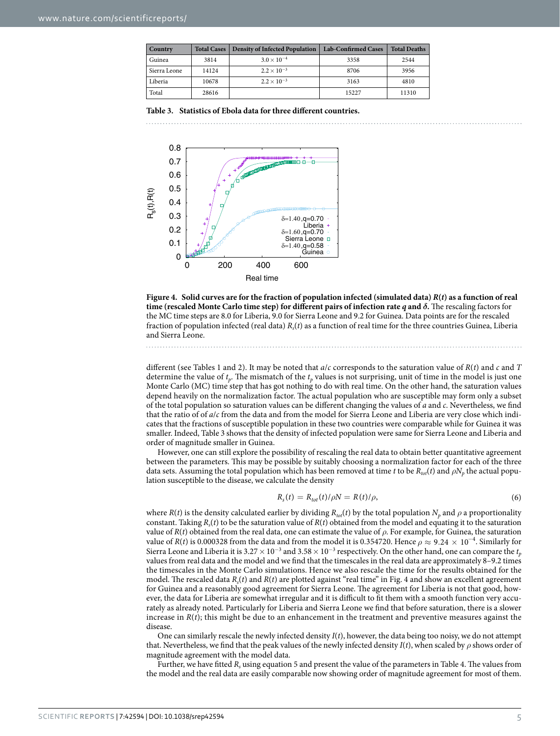<span id="page-4-0"></span>

| <b>Country</b> |       | Total Cases   Density of Infected Population | <b>Lab-Confirmed Cases</b> | <b>Total Deaths</b> |
|----------------|-------|----------------------------------------------|----------------------------|---------------------|
| Guinea         | 3814  | $3.0 \times 10^{-4}$                         | 3358                       | 2544                |
| Sierra Leone   | 14124 | $2.2 \times 10^{-3}$                         | 8706                       | 3956                |
| Liberia        | 10678 | $2.2 \times 10^{-3}$                         | 3163                       | 4810                |
| Total          | 28616 |                                              | 15227                      | 11310               |

**Table 3. Statistics of Ebola data for three different countries.**



<span id="page-4-1"></span>

different (see [Tables 1](#page-2-1) and [2\)](#page-3-1). It may be noted that *a*/*c* corresponds to the saturation value of *R*(*t*) and *c* and *T* determine the value of *tp*. The mismatch of the *tp* values is not surprising, unit of time in the model is just one Monte Carlo (MC) time step that has got nothing to do with real time. On the other hand, the saturation values depend heavily on the normalization factor. The actual population who are susceptible may form only a subset of the total population so saturation values can be different changing the values of *a* and *c*. Nevertheless, we find that the ratio of of *a*/*c* from the data and from the model for Sierra Leone and Liberia are very close which indicates that the fractions of susceptible population in these two countries were comparable while for Guinea it was smaller. Indeed, [Table 3](#page-4-0) shows that the density of infected population were same for Sierra Leone and Liberia and order of magnitude smaller in Guinea.

However, one can still explore the possibility of rescaling the real data to obtain better quantitative agreement between the parameters. This may be possible by suitably choosing a normalization factor for each of the three data sets. Assuming the total population which has been removed at time *t* to be  $R_{tot}(t)$  and  $\rho N_p$  the actual population susceptible to the disease, we calculate the density

$$
R_s(t) = R_{tot}(t)/\rho N = R(t)/\rho,
$$
\n(6)

where *R*(*t*) is the density calculated earlier by dividing  $R_{tot}(t)$  by the total population  $N_p$  and  $\rho$  a proportionality constant. Taking  $R_s(t)$  to be the saturation value of  $R(t)$  obtained from the model and equating it to the saturation value of *R*(*t*) obtained from the real data, one can estimate the value of *ρ*. For example, for Guinea, the saturation value of *R*(*t*) is 0.000328 from the data and from the model it is 0.354720. Hence  $\rho \approx 9.24 \times 10^{-4}$ . Similarly for Sierra Leone and Liberia it is 3.27  $\times$  10<sup>-3</sup> and 3.58  $\times$  10<sup>-3</sup> respectively. On the other hand, one can compare the  $t_p$ values from real data and the model and we find that the timescales in the real data are approximately 8–9.2 times the timescales in the Monte Carlo simulations. Hence we also rescale the time for the results obtained for the model. The rescaled data *Rs*(*t*) and *R*(*t*) are plotted against "real time" in [Fig. 4](#page-4-1) and show an excellent agreement for Guinea and a reasonably good agreement for Sierra Leone. The agreement for Liberia is not that good, however, the data for Liberia are somewhat irregular and it is difficult to fit them with a smooth function very accurately as already noted. Particularly for Liberia and Sierra Leone we find that before saturation, there is a slower increase in  $R(t)$ ; this might be due to an enhancement in the treatment and preventive measures against the disease

One can similarly rescale the newly infected density *I*(*t*), however, the data being too noisy, we do not attempt that. Nevertheless, we find that the peak values of the newly infected density  $I(t)$ , when scaled by  $\rho$  shows order of magnitude agreement with the model data.

Further, we have fitted *R<sub>s</sub>* using equation 5 and present the value of the parameters in [Table 4.](#page-5-0) The values from the model and the real data are easily comparable now showing order of magnitude agreement for most of them.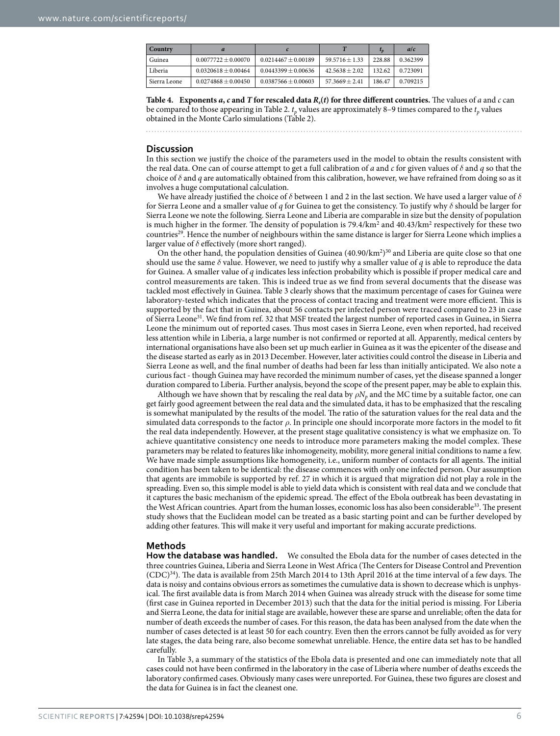<span id="page-5-0"></span>

| Country      |                       |                         |                  | $L_{D}$ | a/c      |
|--------------|-----------------------|-------------------------|------------------|---------|----------|
| Guinea       | $0.0077722 + 0.00070$ | $0.0214467 \pm 0.00189$ | $59.5716 + 1.33$ | 228.88  | 0.362399 |
| Liberia      | $0.0320618 + 0.00464$ | $0.0443399 + 0.00636$   | $42.5638 + 2.02$ | 132.62  | 0.723091 |
| Sierra Leone | $0.0274868 + 0.00450$ | $0.0387566 \pm 0.00603$ | $57.3669 + 2.41$ | 186.47  | 0.709215 |

**Table 4.** Exponents  $a$ ,  $c$  and  $T$  for rescaled data  $R<sub>s</sub>(t)$  for three different countries. The values of  $a$  and  $c$  can be compared to those appearing in [Table 2](#page-3-1).  $t_p$  values are approximately 8–9 times compared to the  $t_p$  values obtained in the Monte Carlo simulations [\(Table 2\)](#page-3-1).

### **Discussion**

In this section we justify the choice of the parameters used in the model to obtain the results consistent with the real data. One can of course attempt to get a full calibration of *a* and *c* for given values of *δ* and *q* so that the choice of *δ* and *q* are automatically obtained from this calibration, however, we have refrained from doing so as it involves a huge computational calculation.

We have already justified the choice of *δ* between 1 and 2 in the last section. We have used a larger value of *δ* for Sierra Leone and a smaller value of *q* for Guinea to get the consistency. To justify why *δ* should be larger for Sierra Leone we note the following. Sierra Leone and Liberia are comparable in size but the density of population is much higher in the former. The density of population is 79.4/km<sup>2</sup> and 40.43/km<sup>2</sup> respectively for these two countries<sup>29</sup>. Hence the number of neighbours within the same distance is larger for Sierra Leone which implies a larger value of *δ* effectively (more short ranged).

On the other hand, the population densities of Guinea  $(40.90/km^2)^{30}$  and Liberia are quite close so that one should use the same  $\delta$  value. However, we need to justify why a smaller value of  $q$  is able to reproduce the data for Guinea. A smaller value of *q* indicates less infection probability which is possible if proper medical care and control measurements are taken. This is indeed true as we find from several documents that the disease was tackled most effectively in Guinea. [Table 3](#page-4-0) clearly shows that the maximum percentage of cases for Guinea were laboratory-tested which indicates that the process of contact tracing and treatment were more efficient. This is supported by the fact that in Guinea, about 56 contacts per infected person were traced compared to 23 in case of Sierra Leone[31](#page-7-0). We find from ref. [32](#page-7-1) that MSF treated the largest number of reported cases in Guinea, in Sierra Leone the minimum out of reported cases. Thus most cases in Sierra Leone, even when reported, had received less attention while in Liberia, a large number is not confirmed or reported at all. Apparently, medical centers by international organisations have also been set up much earlier in Guinea as it was the epicenter of the disease and the disease started as early as in 2013 December. However, later activities could control the disease in Liberia and Sierra Leone as well, and the final number of deaths had been far less than initially anticipated. We also note a curious fact - though Guinea may have recorded the minimum number of cases, yet the disease spanned a longer duration compared to Liberia. Further analysis, beyond the scope of the present paper, may be able to explain this.

Although we have shown that by rescaling the real data by  $\rho N_p$  and the MC time by a suitable factor, one can get fairly good agreement between the real data and the simulated data, it has to be emphasized that the rescaling is somewhat manipulated by the results of the model. The ratio of the saturation values for the real data and the simulated data corresponds to the factor *ρ*. In principle one should incorporate more factors in the model to fit the real data independently. However, at the present stage qualitative consistency is what we emphasize on. To achieve quantitative consistency one needs to introduce more parameters making the model complex. These parameters may be related to features like inhomogeneity, mobility, more general initial conditions to name a few. We have made simple assumptions like homogeneity, i.e., uniform number of contacts for all agents. The initial condition has been taken to be identical: the disease commences with only one infected person. Our assumption that agents are immobile is supported by ref. [27](#page-6-11) in which it is argued that migration did not play a role in the spreading. Even so, this simple model is able to yield data which is consistent with real data and we conclude that it captures the basic mechanism of the epidemic spread. The effect of the Ebola outbreak has been devastating in the West African countries. Apart from the human losses, economic loss has also been considerable<sup>33</sup>. The present study shows that the Euclidean model can be treated as a basic starting point and can be further developed by adding other features. This will make it very useful and important for making accurate predictions.

#### **Methods**

**How the database was handled.** We consulted the Ebola data for the number of cases detected in the three countries Guinea, Liberia and Sierra Leone in West Africa (The Centers for Disease Control and Prevention (CDC)[34\)](#page-7-3). The data is available from 25th March 2014 to 13th April 2016 at the time interval of a few days. The data is noisy and contains obvious errors as sometimes the cumulative data is shown to decrease which is unphysical. The first available data is from March 2014 when Guinea was already struck with the disease for some time (first case in Guinea reported in December 2013) such that the data for the initial period is missing. For Liberia and Sierra Leone, the data for initial stage are available, however these are sparse and unreliable; often the data for number of death exceeds the number of cases. For this reason, the data has been analysed from the date when the number of cases detected is at least 50 for each country. Even then the errors cannot be fully avoided as for very late stages, the data being rare, also become somewhat unreliable. Hence, the entire data set has to be handled carefully.

In [Table 3,](#page-4-0) a summary of the statistics of the Ebola data is presented and one can immediately note that all cases could not have been confirmed in the laboratory in the case of Liberia where number of deaths exceeds the laboratory confirmed cases. Obviously many cases were unreported. For Guinea, these two figures are closest and the data for Guinea is in fact the cleanest one.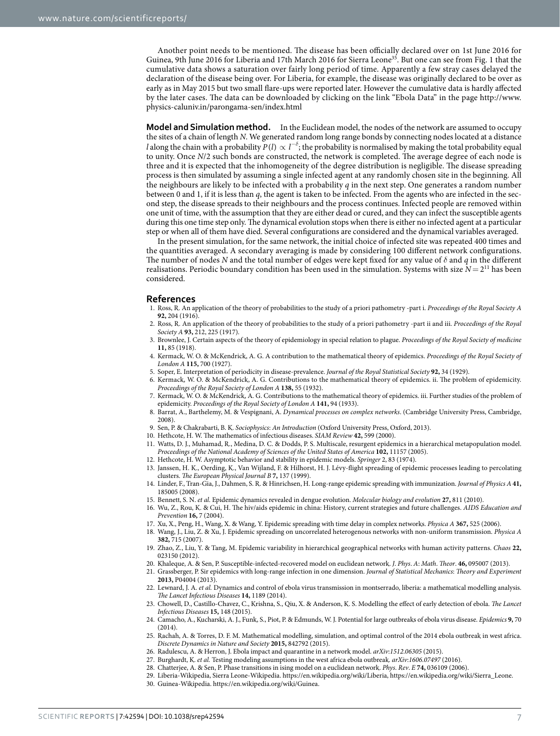Another point needs to be mentioned. The disease has been officially declared over on 1st June 2016 for Guinea, 9th June 2016 for Liberia and 17th March 2016 for Sierra Leone<sup>[35](#page-7-4)</sup>. But one can see from [Fig. 1](#page-1-0) that the cumulative data shows a saturation over fairly long period of time. Apparently a few stray cases delayed the declaration of the disease being over. For Liberia, for example, the disease was originally declared to be over as early as in May 2015 but two small flare-ups were reported later. However the cumulative data is hardly affected by the later cases. The data can be downloaded by clicking on the link "Ebola Data" in the page [http://www.](http://www.physics-caluniv.in/parongama-sen/index.html) [physics-caluniv.in/parongama-sen/index.html](http://www.physics-caluniv.in/parongama-sen/index.html)

**Model and Simulation method.** In the Euclidean model, the nodes of the network are assumed to occupy the sites of a chain of length *N*. We generated random long range bonds by connecting nodes located at a distance *l* along the chain with a probability  $P(l) \propto l^{-\delta}$ ; the probability is normalised by making the total probability equal to unity. Once *N*/2 such bonds are constructed, the network is completed. The average degree of each node is three and it is expected that the inhomogeneity of the degree distribution is negligible. The disease spreading process is then simulated by assuming a single infected agent at any randomly chosen site in the beginning. All the neighbours are likely to be infected with a probability *q* in the next step. One generates a random number between 0 and 1, if it is less than *q*, the agent is taken to be infected. From the agents who are infected in the second step, the disease spreads to their neighbours and the process continues. Infected people are removed within one unit of time, with the assumption that they are either dead or cured, and they can infect the susceptible agents during this one time step only. The dynamical evolution stops when there is either no infected agent at a particular step or when all of them have died. Several configurations are considered and the dynamical variables averaged.

In the present simulation, for the same network, the initial choice of infected site was repeated 400 times and the quantities averaged. A secondary averaging is made by considering 100 different network configurations. The number of nodes *N* and the total number of edges were kept fixed for any value of *δ* and *q* in the different realisations. Periodic boundary condition has been used in the simulation. Systems with size  $N = 2^{11}$  has been considered.

#### **References**

- <span id="page-6-0"></span>1. Ross, R. An application of the theory of probabilities to the study of a priori pathometry -part i. *Proceedings of the Royal Society A* **92,** 204 (1916).
- 2. Ross, R. An application of the theory of probabilities to the study of a priori pathometry -part ii and iii. *Proceedings of the Royal Society A* **93,** 212, 225 (1917).
- 3. Brownlee, J. Certain aspects of the theory of epidemiology in special relation to plague. *Proceedings of the Royal Society of medicine* **11,** 85 (1918).
- 4. Kermack, W. O. & McKendrick, A. G. A contribution to the mathematical theory of epidemics. *Proceedings of the Royal Society of London A* **115,** 700 (1927).
- 5. Soper, E. Interpretation of periodicity in disease-prevalence. *Journal of the Royal Statistical Society* **92,** 34 (1929).
- 6. Kermack, W. O. & McKendrick, A. G. Contributions to the mathematical theory of epidemics. ii. The problem of epidemicity. *Proceedings of the Royal Society of London A* **138,** 55 (1932).
- 7. Kermack, W. O. & McKendrick, A. G. Contributions to the mathematical theory of epidemics. iii. Further studies of the problem of epidemicity. *Proceedings of the Royal Society of London A* **141,** 94 (1933).
- <span id="page-6-1"></span>8. Barrat, A., Barthelemy, M. & Vespignani, A. *Dynamical processes on complex networks*. (Cambridge University Press, Cambridge, 2008).
- <span id="page-6-3"></span><span id="page-6-2"></span>9. Sen, P. & Chakrabarti, B. K. *Sociophysics*: *An Introduction* (Oxford University Press, Oxford, 2013).
- 10. Hethcote, H. W. The mathematics of infectious diseases. *SIAM Review* **42,** 599 (2000).
- <span id="page-6-4"></span>11. Watts, D. J., Muhamad, R., Medina, D. C. & Dodds, P. S. Multiscale, resurgent epidemics in a hierarchical metapopulation model. *Proceedings of the National Academy of Sciences of the United States of America* **102,** 11157 (2005).
- <span id="page-6-5"></span>12. Hethcote, H. W. Asymptotic behavior and stability in epidemic models. *Springer* 2, 83 (1974).
- <span id="page-6-6"></span>13. Janssen, H. K., Oerding, K., Van Wijland, F. & Hilhorst, H. J. Lévy-flight spreading of epidemic processes leading to percolating clusters. *The European Physical Journal B* **7,** 137 (1999).
- 14. Linder, F., Tran-Gia, J., Dahmen, S. R. & Hinrichsen, H. Long-range epidemic spreading with immunization. *Journal of Physics A* **41,** 185005 (2008).
- 15. Bennett, S. N. *et al.* Epidemic dynamics revealed in dengue evolution. *Molecular biology and evolution* **27,** 811 (2010).
- 16. Wu, Z., Rou, K. & Cui, H. The hiv/aids epidemic in china: History, current strategies and future challenges. *AIDS Education and Prevention* **16,** 7 (2004).
- 17. Xu, X., Peng, H., Wang, X. & Wang, Y. Epidemic spreading with time delay in complex networks. *Physica A* **367,** 525 (2006).
- 18. Wang, J., Liu, Z. & Xu, J. Epidemic spreading on uncorrelated heterogenous networks with non-uniform transmission. *Physica A* **382,** 715 (2007).
- 19. Zhao, Z., Liu, Y. & Tang, M. Epidemic variability in hierarchical geographical networks with human activity patterns. *Chaos* **22,** 023150 (2012).
- 20. Khaleque, A. & Sen, P. Susceptible-infected-recovered model on euclidean network. *J*. *Phys*. *A*: *Math*. *Theor*. **46,** 095007 (2013).
- <span id="page-6-8"></span><span id="page-6-7"></span>21. Grassberger, P. Sir epidemics with long-range infection in one dimension. *Journal of Statistical Mechanics*: *Theory and Experiment* **2013,** P04004 (2013).
- <span id="page-6-9"></span>22. Lewnard, J. A. *et al.* Dynamics and control of ebola virus transmission in montserrado, liberia: a mathematical modelling analysis. *The Lancet Infectious Diseases* **14,** 1189 (2014).
- 23. Chowell, D., Castillo-Chavez, C., Krishna, S., Qiu, X. & Anderson, K. S. Modelling the effect of early detection of ebola. *The Lancet Infectious Diseases* **15,** 148 (2015).
- 24. Camacho, A., Kucharski, A. J., Funk, S., Piot, P. & Edmunds, W. J. Potential for large outbreaks of ebola virus disease. *Epidemics* **9,** 70 (2014).
- <span id="page-6-10"></span>25. Rachah, A. & Torres, D. F. M. Mathematical modelling, simulation, and optimal control of the 2014 ebola outbreak in west africa. *Discrete Dynamics in Nature and Society* **2015,** 842792 (2015).
- <span id="page-6-11"></span>26. Radulescu, A. & Herron, J. Ebola impact and quarantine in a network model. *arXiv*:*1512*.*06305* (2015).
- <span id="page-6-13"></span><span id="page-6-12"></span>27. Burghardt, K. *et al.* Testing modeling assumptions in the west africa ebola outbreak. *arXiv*:*1606*.*07497* (2016).
- <span id="page-6-14"></span>28. Chatterjee, A. & Sen, P. Phase transitions in ising model on a euclidean network. *Phys*. *Rev*. *E* **74,** 036109 (2006).
	- 29. Liberia-Wikipedia, Sierra Leone-Wikipedia. [https://en.wikipedia.org/wiki/Liberia,](https://en.wikipedia.org/wiki/Liberia) [https://en.wikipedia.org/wiki/Sierra\\_Leone](https://en.wikipedia.org/wiki/Sierra_Leone).
	- 30. Guinea-Wikipedia. <https://en.wikipedia.org/wiki/Guinea>.